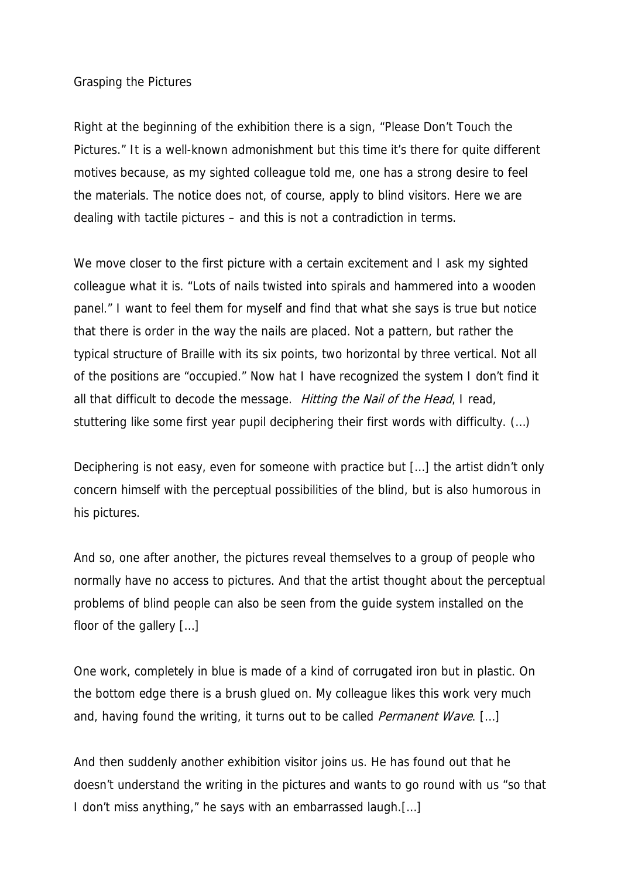## Grasping the Pictures

Right at the beginning of the exhibition there is a sign, "Please Don't Touch the Pictures." It is a well-known admonishment but this time it's there for quite different motives because, as my sighted colleague told me, one has a strong desire to feel the materials. The notice does not, of course, apply to blind visitors. Here we are dealing with tactile pictures – and this is not a contradiction in terms.

We move closer to the first picture with a certain excitement and I ask my sighted colleague what it is. "Lots of nails twisted into spirals and hammered into a wooden panel." I want to feel them for myself and find that what she says is true but notice that there is order in the way the nails are placed. Not a pattern, but rather the typical structure of Braille with its six points, two horizontal by three vertical. Not all of the positions are "occupied." Now hat I have recognized the system I don't find it all that difficult to decode the message. Hitting the Nail of the Head, I read, stuttering like some first year pupil deciphering their first words with difficulty. (…)

Deciphering is not easy, even for someone with practice but […] the artist didn't only concern himself with the perceptual possibilities of the blind, but is also humorous in his pictures.

And so, one after another, the pictures reveal themselves to a group of people who normally have no access to pictures. And that the artist thought about the perceptual problems of blind people can also be seen from the guide system installed on the floor of the gallery […]

One work, completely in blue is made of a kind of corrugated iron but in plastic. On the bottom edge there is a brush glued on. My colleague likes this work very much and, having found the writing, it turns out to be called *Permanent Wave*. [...]

And then suddenly another exhibition visitor joins us. He has found out that he doesn't understand the writing in the pictures and wants to go round with us "so that I don't miss anything," he says with an embarrassed laugh.[…]